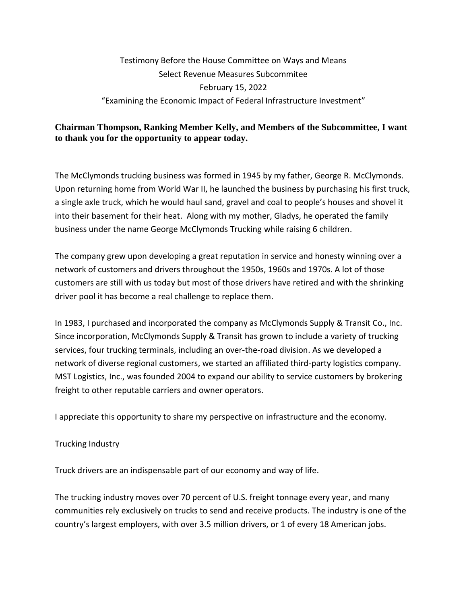# Testimony Before the House Committee on Ways and Means Select Revenue Measures Subcommitee February 15, 2022 "Examining the Economic Impact of Federal Infrastructure Investment"

## **Chairman Thompson, Ranking Member Kelly, and Members of the Subcommittee, I want to thank you for the opportunity to appear today.**

The McClymonds trucking business was formed in 1945 by my father, George R. McClymonds. Upon returning home from World War II, he launched the business by purchasing his first truck, a single axle truck, which he would haul sand, gravel and coal to people's houses and shovel it into their basement for their heat. Along with my mother, Gladys, he operated the family business under the name George McClymonds Trucking while raising 6 children.

The company grew upon developing a great reputation in service and honesty winning over a network of customers and drivers throughout the 1950s, 1960s and 1970s. A lot of those customers are still with us today but most of those drivers have retired and with the shrinking driver pool it has become a real challenge to replace them.

In 1983, I purchased and incorporated the company as McClymonds Supply & Transit Co., Inc. Since incorporation, McClymonds Supply & Transit has grown to include a variety of trucking services, four trucking terminals, including an over-the-road division. As we developed a network of diverse regional customers, we started an affiliated third-party logistics company. MST Logistics, Inc., was founded 2004 to expand our ability to service customers by brokering freight to other reputable carriers and owner operators.

I appreciate this opportunity to share my perspective on infrastructure and the economy.

#### Trucking Industry

Truck drivers are an indispensable part of our economy and way of life.

The trucking industry moves over 70 percent of U.S. freight tonnage every year, and many communities rely exclusively on trucks to send and receive products. The industry is one of the country's largest employers, with over 3.5 million drivers, or 1 of every 18 American jobs.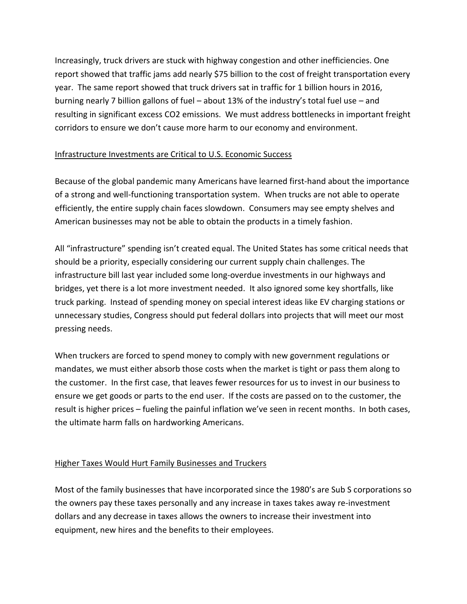Increasingly, truck drivers are stuck with highway congestion and other inefficiencies. One report showed that traffic jams add nearly \$75 billion to the cost of freight transportation every year. The same report showed that truck drivers sat in traffic for 1 billion hours in 2016, burning nearly 7 billion gallons of fuel – about 13% of the industry's total fuel use – and resulting in significant excess CO2 emissions. We must address bottlenecks in important freight corridors to ensure we don't cause more harm to our economy and environment.

## Infrastructure Investments are Critical to U.S. Economic Success

Because of the global pandemic many Americans have learned first-hand about the importance of a strong and well-functioning transportation system. When trucks are not able to operate efficiently, the entire supply chain faces slowdown. Consumers may see empty shelves and American businesses may not be able to obtain the products in a timely fashion.

All "infrastructure" spending isn't created equal. The United States has some critical needs that should be a priority, especially considering our current supply chain challenges. The infrastructure bill last year included some long-overdue investments in our highways and bridges, yet there is a lot more investment needed. It also ignored some key shortfalls, like truck parking. Instead of spending money on special interest ideas like EV charging stations or unnecessary studies, Congress should put federal dollars into projects that will meet our most pressing needs.

When truckers are forced to spend money to comply with new government regulations or mandates, we must either absorb those costs when the market is tight or pass them along to the customer. In the first case, that leaves fewer resources for us to invest in our business to ensure we get goods or parts to the end user. If the costs are passed on to the customer, the result is higher prices – fueling the painful inflation we've seen in recent months. In both cases, the ultimate harm falls on hardworking Americans.

#### Higher Taxes Would Hurt Family Businesses and Truckers

Most of the family businesses that have incorporated since the 1980's are Sub S corporations so the owners pay these taxes personally and any increase in taxes takes away re-investment dollars and any decrease in taxes allows the owners to increase their investment into equipment, new hires and the benefits to their employees.